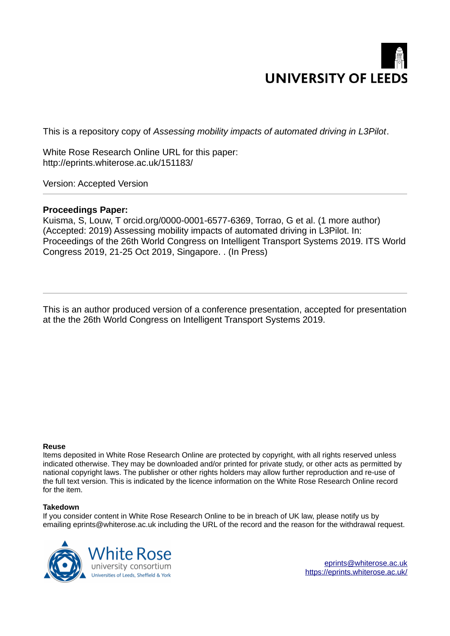

This is a repository copy of *Assessing mobility impacts of automated driving in L3Pilot*.

White Rose Research Online URL for this paper: http://eprints.whiterose.ac.uk/151183/

Version: Accepted Version

# **Proceedings Paper:**

Kuisma, S, Louw, T orcid.org/0000-0001-6577-6369, Torrao, G et al. (1 more author) (Accepted: 2019) Assessing mobility impacts of automated driving in L3Pilot. In: Proceedings of the 26th World Congress on Intelligent Transport Systems 2019. ITS World Congress 2019, 21-25 Oct 2019, Singapore. . (In Press)

This is an author produced version of a conference presentation, accepted for presentation at the the 26th World Congress on Intelligent Transport Systems 2019.

### **Reuse**

Items deposited in White Rose Research Online are protected by copyright, with all rights reserved unless indicated otherwise. They may be downloaded and/or printed for private study, or other acts as permitted by national copyright laws. The publisher or other rights holders may allow further reproduction and re-use of the full text version. This is indicated by the licence information on the White Rose Research Online record for the item.

### **Takedown**

If you consider content in White Rose Research Online to be in breach of UK law, please notify us by emailing eprints@whiterose.ac.uk including the URL of the record and the reason for the withdrawal request.



[eprints@whiterose.ac.uk](mailto:eprints@whiterose.ac.uk) <https://eprints.whiterose.ac.uk/>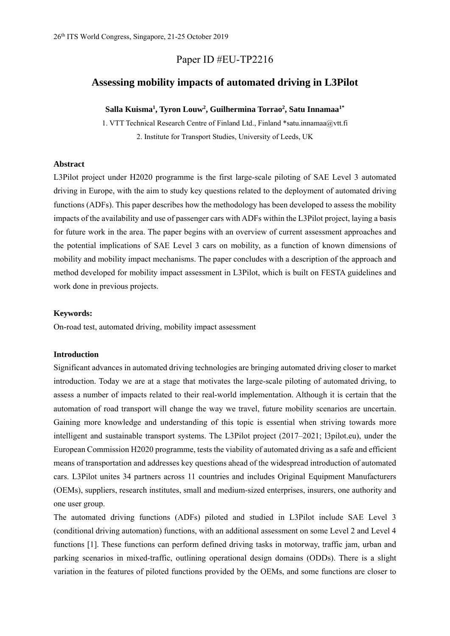# Paper ID #EU-TP2216

# **Assessing mobility impacts of automated driving in L3Pilot**

## **Salla Kuisma<sup>1</sup> , Tyron Louw<sup>2</sup> , Guilhermina Torrao<sup>2</sup> , Satu Innamaa1\***

1. VTT Technical Research Centre of Finland Ltd., Finland \*satu.innamaa@vtt.fi 2. Institute for Transport Studies, University of Leeds, UK

# **Abstract**

L3Pilot project under H2020 programme is the first large-scale piloting of SAE Level 3 automated driving in Europe, with the aim to study key questions related to the deployment of automated driving functions (ADFs). This paper describes how the methodology has been developed to assess the mobility impacts of the availability and use of passenger cars with ADFs within the L3Pilot project, laying a basis for future work in the area. The paper begins with an overview of current assessment approaches and the potential implications of SAE Level 3 cars on mobility, as a function of known dimensions of mobility and mobility impact mechanisms. The paper concludes with a description of the approach and method developed for mobility impact assessment in L3Pilot, which is built on FESTA guidelines and work done in previous projects.

### **Keywords:**

On-road test, automated driving, mobility impact assessment

### **Introduction**

Significant advances in automated driving technologies are bringing automated driving closer to market introduction. Today we are at a stage that motivates the large-scale piloting of automated driving, to assess a number of impacts related to their real-world implementation. Although it is certain that the automation of road transport will change the way we travel, future mobility scenarios are uncertain. Gaining more knowledge and understanding of this topic is essential when striving towards more intelligent and sustainable transport systems. The L3Pilot project  $(2017–2021; 13$ pilot.eu), under the European Commission H2020 programme, tests the viability of automated driving as a safe and efficient means of transportation and addresses key questions ahead of the widespread introduction of automated cars. L3Pilot unites 34 partners across 11 countries and includes Original Equipment Manufacturers (OEMs), suppliers, research institutes, small and medium-sized enterprises, insurers, one authority and one user group.

The automated driving functions (ADFs) piloted and studied in L3Pilot include SAE Level 3 (conditional driving automation) functions, with an additional assessment on some Level 2 and Level 4 functions [1]. These functions can perform defined driving tasks in motorway, traffic jam, urban and parking scenarios in mixed-traffic, outlining operational design domains (ODDs). There is a slight variation in the features of piloted functions provided by the OEMs, and some functions are closer to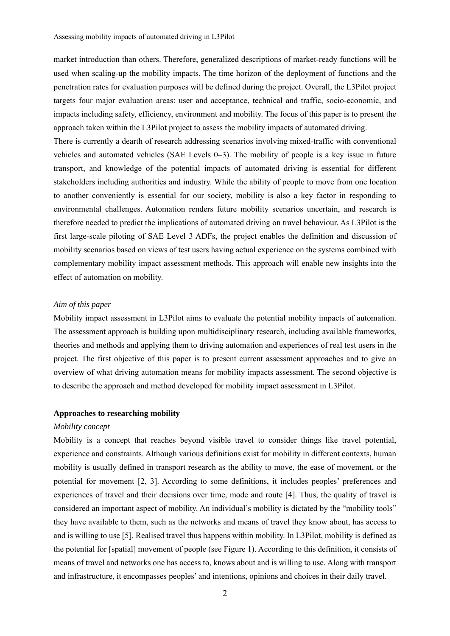market introduction than others. Therefore, generalized descriptions of market-ready functions will be used when scaling-up the mobility impacts. The time horizon of the deployment of functions and the penetration rates for evaluation purposes will be defined during the project. Overall, the L3Pilot project targets four major evaluation areas: user and acceptance, technical and traffic, socio-economic, and impacts including safety, efficiency, environment and mobility. The focus of this paper is to present the approach taken within the L3Pilot project to assess the mobility impacts of automated driving.

There is currently a dearth of research addressing scenarios involving mixed-traffic with conventional vehicles and automated vehicles (SAE Levels  $0-3$ ). The mobility of people is a key issue in future transport, and knowledge of the potential impacts of automated driving is essential for different stakeholders including authorities and industry. While the ability of people to move from one location to another conveniently is essential for our society, mobility is also a key factor in responding to environmental challenges. Automation renders future mobility scenarios uncertain, and research is therefore needed to predict the implications of automated driving on travel behaviour. As L3Pilot is the first large-scale piloting of SAE Level 3 ADFs, the project enables the definition and discussion of mobility scenarios based on views of test users having actual experience on the systems combined with complementary mobility impact assessment methods. This approach will enable new insights into the effect of automation on mobility.

## *Aim of this paper*

Mobility impact assessment in L3Pilot aims to evaluate the potential mobility impacts of automation. The assessment approach is building upon multidisciplinary research, including available frameworks, theories and methods and applying them to driving automation and experiences of real test users in the project. The first objective of this paper is to present current assessment approaches and to give an overview of what driving automation means for mobility impacts assessment. The second objective is to describe the approach and method developed for mobility impact assessment in L3Pilot.

### **Approaches to researching mobility**

### *Mobility concept*

Mobility is a concept that reaches beyond visible travel to consider things like travel potential, experience and constraints. Although various definitions exist for mobility in different contexts, human mobility is usually defined in transport research as the ability to move, the ease of movement, or the potential for movement  $[2, 3]$ . According to some definitions, it includes peoples' preferences and experiences of travel and their decisions over time, mode and route [4]. Thus, the quality of travel is considered an important aspect of mobility. An individual's mobility is dictated by the "mobility tools" they have available to them, such as the networks and means of travel they know about, has access to and is willing to use [5]. Realised travel thus happens within mobility. In L3Pilot, mobility is defined as the potential for [spatial] movement of people (see Figure 1). According to this definition, it consists of means of travel and networks one has access to, knows about and is willing to use. Along with transport and infrastructure, it encompasses peoples' and intentions, opinions and choices in their daily travel.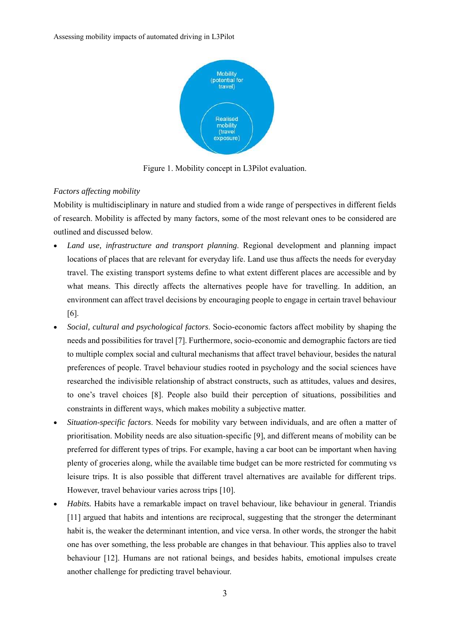

Figure 1. Mobility concept in L3Pilot evaluation.

# *Factors affecting mobility*

Mobility is multidisciplinary in nature and studied from a wide range of perspectives in different fields of research. Mobility is affected by many factors, some of the most relevant ones to be considered are outlined and discussed below.

- *Land use, infrastructure and transport planning*. Regional development and planning impact locations of places that are relevant for everyday life. Land use thus affects the needs for everyday travel. The existing transport systems define to what extent different places are accessible and by what means. This directly affects the alternatives people have for travelling. In addition, an environment can affect travel decisions by encouraging people to engage in certain travel behaviour [6].
- *Social, cultural and psychological factors*. Socio-economic factors affect mobility by shaping the needs and possibilities for travel [7]. Furthermore, socio-economic and demographic factors are tied to multiple complex social and cultural mechanisms that affect travel behaviour, besides the natural preferences of people. Travel behaviour studies rooted in psychology and the social sciences have researched the indivisible relationship of abstract constructs, such as attitudes, values and desires, to one's travel choices [8]. People also build their perception of situations, possibilities and constraints in different ways, which makes mobility a subjective matter.
- *Situation-specific factors*. Needs for mobility vary between individuals, and are often a matter of prioritisation. Mobility needs are also situation-specific [9], and different means of mobility can be preferred for different types of trips. For example, having a car boot can be important when having plenty of groceries along, while the available time budget can be more restricted for commuting vs leisure trips. It is also possible that different travel alternatives are available for different trips. However, travel behaviour varies across trips [10].
- *Habits.* Habits have a remarkable impact on travel behaviour, like behaviour in general. Triandis [11] argued that habits and intentions are reciprocal, suggesting that the stronger the determinant habit is, the weaker the determinant intention, and vice versa. In other words, the stronger the habit one has over something, the less probable are changes in that behaviour. This applies also to travel behaviour [12]. Humans are not rational beings, and besides habits, emotional impulses create another challenge for predicting travel behaviour.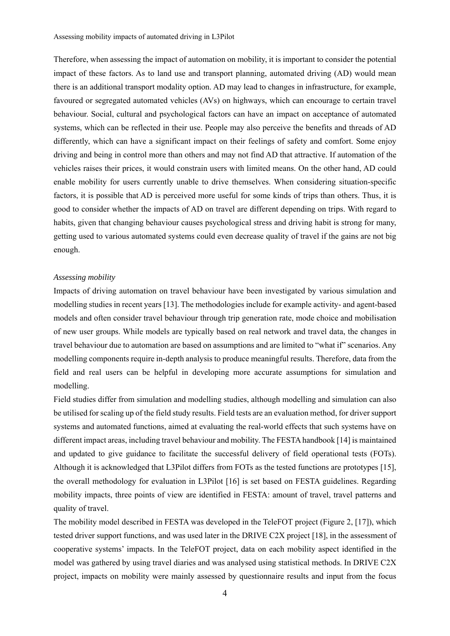Therefore, when assessing the impact of automation on mobility, it is important to consider the potential impact of these factors. As to land use and transport planning, automated driving (AD) would mean there is an additional transport modality option. AD may lead to changes in infrastructure, for example, favoured or segregated automated vehicles (AVs) on highways, which can encourage to certain travel behaviour. Social, cultural and psychological factors can have an impact on acceptance of automated systems, which can be reflected in their use. People may also perceive the benefits and threads of AD differently, which can have a significant impact on their feelings of safety and comfort. Some enjoy driving and being in control more than others and may not find AD that attractive. If automation of the vehicles raises their prices, it would constrain users with limited means. On the other hand, AD could enable mobility for users currently unable to drive themselves. When considering situation-specific factors, it is possible that AD is perceived more useful for some kinds of trips than others. Thus, it is good to consider whether the impacts of AD on travel are different depending on trips. With regard to habits, given that changing behaviour causes psychological stress and driving habit is strong for many, getting used to various automated systems could even decrease quality of travel if the gains are not big enough.

### *Assessing mobility*

Impacts of driving automation on travel behaviour have been investigated by various simulation and modelling studies in recent years [13]. The methodologies include for example activity- and agent-based models and often consider travel behaviour through trip generation rate, mode choice and mobilisation of new user groups. While models are typically based on real network and travel data, the changes in travel behaviour due to automation are based on assumptions and are limited to "what if" scenarios. Any modelling components require in-depth analysis to produce meaningful results. Therefore, data from the field and real users can be helpful in developing more accurate assumptions for simulation and modelling.

Field studies differ from simulation and modelling studies, although modelling and simulation can also be utilised for scaling up of the field study results. Field tests are an evaluation method, for driver support systems and automated functions, aimed at evaluating the real-world effects that such systems have on different impact areas, including travel behaviour and mobility. The FESTA handbook [14] is maintained and updated to give guidance to facilitate the successful delivery of field operational tests (FOTs). Although it is acknowledged that L3Pilot differs from FOTs as the tested functions are prototypes [15], the overall methodology for evaluation in L3Pilot [16] is set based on FESTA guidelines. Regarding mobility impacts, three points of view are identified in FESTA: amount of travel, travel patterns and quality of travel.

The mobility model described in FESTA was developed in the TeleFOT project (Figure 2, [17]), which tested driver support functions, and was used later in the DRIVE C2X project [18], in the assessment of cooperative systems' impacts. In the TeleFOT project, data on each mobility aspect identified in the model was gathered by using travel diaries and was analysed using statistical methods. In DRIVE C2X project, impacts on mobility were mainly assessed by questionnaire results and input from the focus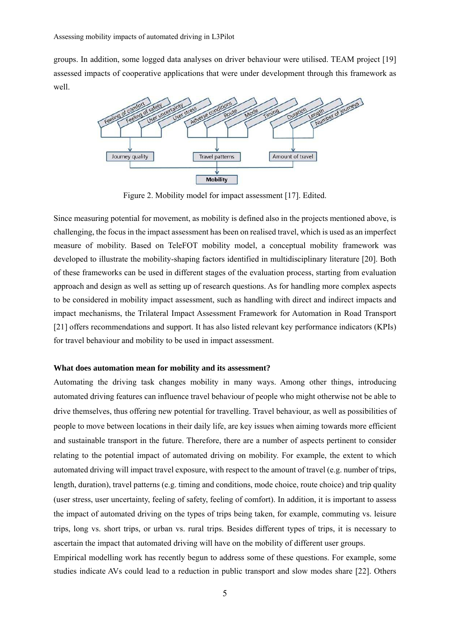groups. In addition, some logged data analyses on driver behaviour were utilised. TEAM project [19] assessed impacts of cooperative applications that were under development through this framework as well.



Figure 2. Mobility model for impact assessment [17]. Edited.

Since measuring potential for movement, as mobility is defined also in the projects mentioned above, is challenging, the focus in the impact assessment has been on realised travel, which is used as an imperfect measure of mobility. Based on TeleFOT mobility model, a conceptual mobility framework was developed to illustrate the mobility-shaping factors identified in multidisciplinary literature [20]. Both of these frameworks can be used in different stages of the evaluation process, starting from evaluation approach and design as well as setting up of research questions. As for handling more complex aspects to be considered in mobility impact assessment, such as handling with direct and indirect impacts and impact mechanisms, the Trilateral Impact Assessment Framework for Automation in Road Transport [21] offers recommendations and support. It has also listed relevant key performance indicators (KPIs) for travel behaviour and mobility to be used in impact assessment.

## **What does automation mean for mobility and its assessment?**

Automating the driving task changes mobility in many ways. Among other things, introducing automated driving features can influence travel behaviour of people who might otherwise not be able to drive themselves, thus offering new potential for travelling. Travel behaviour, as well as possibilities of people to move between locations in their daily life, are key issues when aiming towards more efficient and sustainable transport in the future. Therefore, there are a number of aspects pertinent to consider relating to the potential impact of automated driving on mobility. For example, the extent to which automated driving will impact travel exposure, with respect to the amount of travel (e.g. number of trips, length, duration), travel patterns (e.g. timing and conditions, mode choice, route choice) and trip quality (user stress, user uncertainty, feeling of safety, feeling of comfort). In addition, it is important to assess the impact of automated driving on the types of trips being taken, for example, commuting vs. leisure trips, long vs. short trips, or urban vs. rural trips. Besides different types of trips, it is necessary to ascertain the impact that automated driving will have on the mobility of different user groups.

Empirical modelling work has recently begun to address some of these questions. For example, some studies indicate AVs could lead to a reduction in public transport and slow modes share [22]. Others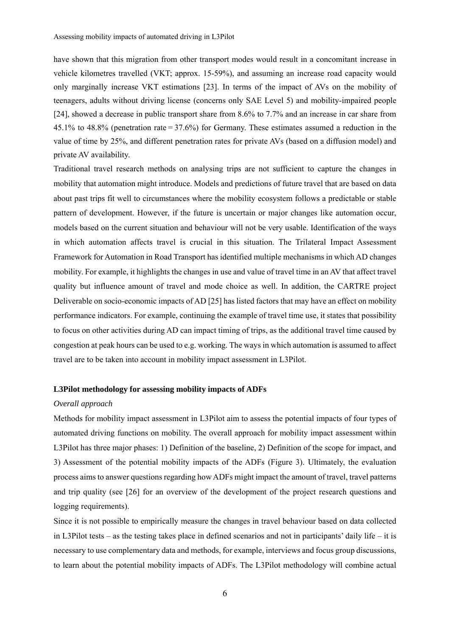have shown that this migration from other transport modes would result in a concomitant increase in vehicle kilometres travelled (VKT; approx. 15-59%), and assuming an increase road capacity would only marginally increase VKT estimations [23]. In terms of the impact of AVs on the mobility of teenagers, adults without driving license (concerns only SAE Level 5) and mobility-impaired people [24], showed a decrease in public transport share from 8.6% to 7.7% and an increase in car share from 45.1% to 48.8% (penetration rate = 37.6%) for Germany. These estimates assumed a reduction in the value of time by 25%, and different penetration rates for private AVs (based on a diffusion model) and private AV availability.

Traditional travel research methods on analysing trips are not sufficient to capture the changes in mobility that automation might introduce. Models and predictions of future travel that are based on data about past trips fit well to circumstances where the mobility ecosystem follows a predictable or stable pattern of development. However, if the future is uncertain or major changes like automation occur, models based on the current situation and behaviour will not be very usable. Identification of the ways in which automation affects travel is crucial in this situation. The Trilateral Impact Assessment Framework for Automation in Road Transport has identified multiple mechanisms in which AD changes mobility. For example, it highlights the changes in use and value of travel time in an AV that affect travel quality but influence amount of travel and mode choice as well. In addition, the CARTRE project Deliverable on socio-economic impacts of AD [25] has listed factors that may have an effect on mobility performance indicators. For example, continuing the example of travel time use, it states that possibility to focus on other activities during AD can impact timing of trips, as the additional travel time caused by congestion at peak hours can be used to e.g. working. The ways in which automation is assumed to affect travel are to be taken into account in mobility impact assessment in L3Pilot.

### **L3Pilot methodology for assessing mobility impacts of ADFs**

### *Overall approach*

Methods for mobility impact assessment in L3Pilot aim to assess the potential impacts of four types of automated driving functions on mobility. The overall approach for mobility impact assessment within L3Pilot has three major phases: 1) Definition of the baseline, 2) Definition of the scope for impact, and 3) Assessment of the potential mobility impacts of the ADFs (Figure 3). Ultimately, the evaluation process aims to answer questions regarding how ADFs might impact the amount of travel, travel patterns and trip quality (see [26] for an overview of the development of the project research questions and logging requirements).

Since it is not possible to empirically measure the changes in travel behaviour based on data collected in L3Pilot tests – as the testing takes place in defined scenarios and not in participants' daily life – it is necessary to use complementary data and methods, for example, interviews and focus group discussions, to learn about the potential mobility impacts of ADFs. The L3Pilot methodology will combine actual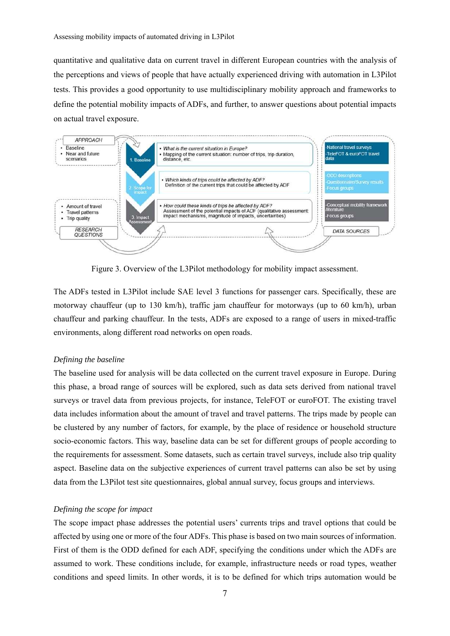quantitative and qualitative data on current travel in different European countries with the analysis of the perceptions and views of people that have actually experienced driving with automation in L3Pilot tests. This provides a good opportunity to use multidisciplinary mobility approach and frameworks to define the potential mobility impacts of ADFs, and further, to answer questions about potential impacts on actual travel exposure.



Figure 3. Overview of the L3Pilot methodology for mobility impact assessment.

The ADFs tested in L3Pilot include SAE level 3 functions for passenger cars. Specifically, these are motorway chauffeur (up to 130 km/h), traffic jam chauffeur for motorways (up to 60 km/h), urban chauffeur and parking chauffeur. In the tests, ADFs are exposed to a range of users in mixed-traffic environments, along different road networks on open roads.

### *Defining the baseline*

The baseline used for analysis will be data collected on the current travel exposure in Europe. During this phase, a broad range of sources will be explored, such as data sets derived from national travel surveys or travel data from previous projects, for instance, TeleFOT or euroFOT. The existing travel data includes information about the amount of travel and travel patterns. The trips made by people can be clustered by any number of factors, for example, by the place of residence or household structure socio-economic factors. This way, baseline data can be set for different groups of people according to the requirements for assessment. Some datasets, such as certain travel surveys, include also trip quality aspect. Baseline data on the subjective experiences of current travel patterns can also be set by using data from the L3Pilot test site questionnaires, global annual survey, focus groups and interviews.

### *Defining the scope for impact*

The scope impact phase addresses the potential users' currents trips and travel options that could be affected by using one or more of the four ADFs. This phase is based on two main sources of information. First of them is the ODD defined for each ADF, specifying the conditions under which the ADFs are assumed to work. These conditions include, for example, infrastructure needs or road types, weather conditions and speed limits. In other words, it is to be defined for which trips automation would be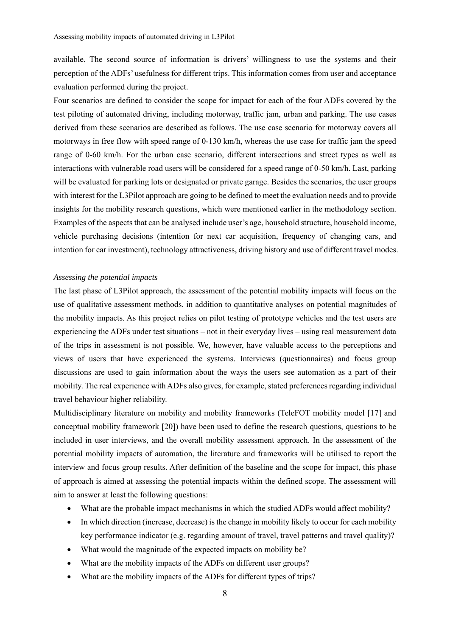available. The second source of information is drivers' willingness to use the systems and their perception of the ADFs' usefulness for different trips. This information comes from user and acceptance evaluation performed during the project.

Four scenarios are defined to consider the scope for impact for each of the four ADFs covered by the test piloting of automated driving, including motorway, traffic jam, urban and parking. The use cases derived from these scenarios are described as follows. The use case scenario for motorway covers all motorways in free flow with speed range of 0-130 km/h, whereas the use case for traffic jam the speed range of 0-60 km/h. For the urban case scenario, different intersections and street types as well as interactions with vulnerable road users will be considered for a speed range of 0-50 km/h. Last, parking will be evaluated for parking lots or designated or private garage. Besides the scenarios, the user groups with interest for the L3Pilot approach are going to be defined to meet the evaluation needs and to provide insights for the mobility research questions, which were mentioned earlier in the methodology section. Examples of the aspects that can be analysed include user's age, household structure, household income, vehicle purchasing decisions (intention for next car acquisition, frequency of changing cars, and intention for car investment), technology attractiveness, driving history and use of different travel modes.

### *Assessing the potential impacts*

The last phase of L3Pilot approach, the assessment of the potential mobility impacts will focus on the use of qualitative assessment methods, in addition to quantitative analyses on potential magnitudes of the mobility impacts. As this project relies on pilot testing of prototype vehicles and the test users are experiencing the ADFs under test situations – not in their everyday lives – using real measurement data of the trips in assessment is not possible. We, however, have valuable access to the perceptions and views of users that have experienced the systems. Interviews (questionnaires) and focus group discussions are used to gain information about the ways the users see automation as a part of their mobility. The real experience with ADFs also gives, for example, stated preferences regarding individual travel behaviour higher reliability.

Multidisciplinary literature on mobility and mobility frameworks (TeleFOT mobility model [17] and conceptual mobility framework [20]) have been used to define the research questions, questions to be included in user interviews, and the overall mobility assessment approach. In the assessment of the potential mobility impacts of automation, the literature and frameworks will be utilised to report the interview and focus group results. After definition of the baseline and the scope for impact, this phase of approach is aimed at assessing the potential impacts within the defined scope. The assessment will aim to answer at least the following questions:

- What are the probable impact mechanisms in which the studied ADFs would affect mobility?
- In which direction (increase, decrease) is the change in mobility likely to occur for each mobility key performance indicator (e.g. regarding amount of travel, travel patterns and travel quality)?
- What would the magnitude of the expected impacts on mobility be?
- What are the mobility impacts of the ADFs on different user groups?
- What are the mobility impacts of the ADFs for different types of trips?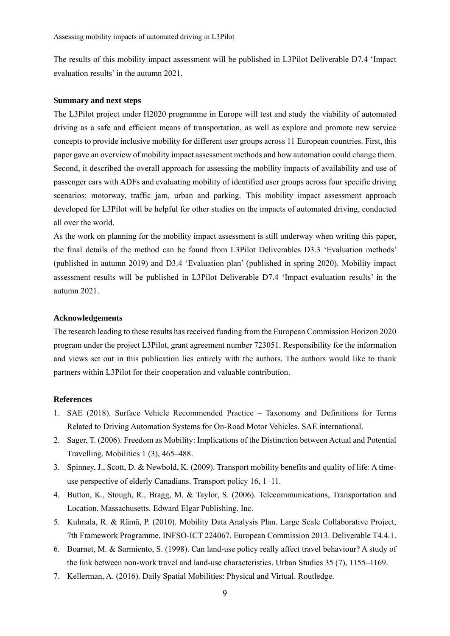The results of this mobility impact assessment will be published in L3Pilot Deliverable D7.4 'Impact evaluation results' in the autumn 2021.

### **Summary and next steps**

The L3Pilot project under H2020 programme in Europe will test and study the viability of automated driving as a safe and efficient means of transportation, as well as explore and promote new service concepts to provide inclusive mobility for different user groups across 11 European countries. First, this paper gave an overview of mobility impact assessment methods and how automation could change them. Second, it described the overall approach for assessing the mobility impacts of availability and use of passenger cars with ADFs and evaluating mobility of identified user groups across four specific driving scenarios: motorway, traffic jam, urban and parking. This mobility impact assessment approach developed for L3Pilot will be helpful for other studies on the impacts of automated driving, conducted all over the world.

As the work on planning for the mobility impact assessment is still underway when writing this paper, the final details of the method can be found from L3Pilot Deliverables D3.3 'Evaluation methods' (published in autumn 2019) and D3.4 'Evaluation plan' (published in spring 2020). Mobility impact assessment results will be published in L3Pilot Deliverable D7.4 'Impact evaluation results' in the autumn 2021.

### **Acknowledgements**

The research leading to these results has received funding from the European Commission Horizon 2020 program under the project L3Pilot, grant agreement number 723051. Responsibility for the information and views set out in this publication lies entirely with the authors. The authors would like to thank partners within L3Pilot for their cooperation and valuable contribution.

### **References**

- 1. SAE (2018). Surface Vehicle Recommended Practice Taxonomy and Definitions for Terms Related to Driving Automation Systems for On-Road Motor Vehicles. SAE international.
- 2. Sager, T. (2006). Freedom as Mobility: Implications of the Distinction between Actual and Potential Travelling. Mobilities  $1(3)$ ,  $465-488$ .
- 3. Spinney, J., Scott, D. & Newbold, K. (2009). Transport mobility benefits and quality of life: A timeuse perspective of elderly Canadians. Transport policy  $16$ ,  $1-11$ .
- 4. Button, K., Stough, R., Bragg, M. & Taylor, S. (2006). Telecommunications, Transportation and Location. Massachusetts. Edward Elgar Publishing, Inc.
- 5. Kulmala, R. & Rämä, P. (2010). Mobility Data Analysis Plan. Large Scale Collaborative Project, 7th Framework Programme, INFSO-ICT 224067. European Commission 2013. Deliverable T4.4.1.
- 6. Boarnet, M. & Sarmiento, S. (1998). Can land-use policy really affect travel behaviour? A study of the link between non-work travel and land-use characteristics. Urban Studies  $35(7)$ ,  $1155–1169$ .
- 7. Kellerman, A. (2016). Daily Spatial Mobilities: Physical and Virtual. Routledge.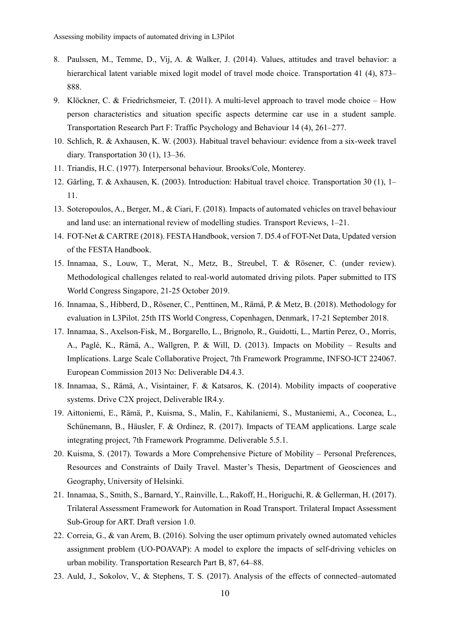- 8. Paulssen, M., Temme, D., Vij, A. & Walker, J. (2014). Values, attitudes and travel behavior: a hierarchical latent variable mixed logit model of travel mode choice. Transportation 41 (4), 873– 888.
- 9. Klöckner, C. & Friedrichsmeier, T. (2011). A multi-level approach to travel mode choice  $-$  How person characteristics and situation specific aspects determine car use in a student sample. Transportation Research Part F: Traffic Psychology and Behaviour 14 (4), 261–277.
- 10. Schlich, R. & Axhausen, K. W. (2003). Habitual travel behaviour: evidence from a six-week travel diary. Transportation 30  $(1)$ , 13–36.
- 11. Triandis, H.C. (1977). Interpersonal behaviour. Brooks/Cole, Monterey.
- 12. Gärling, T. & Axhausen, K. (2003). Introduction: Habitual travel choice. Transportation 30 (1), 1– 11.
- 13. Soteropoulos, A., Berger, M., & Ciari, F. (2018). Impacts of automated vehicles on travel behaviour and land use: an international review of modelling studies. Transport Reviews,  $1-21$ .
- 14. FOT-Net & CARTRE (2018). FESTA Handbook, version 7. D5.4 of FOT-Net Data, Updated version of the FESTA Handbook.
- 15. Innamaa, S., Louw, T., Merat, N., Metz, B., Streubel, T. & Rösener, C. (under review). Methodological challenges related to real-world automated driving pilots. Paper submitted to ITS World Congress Singapore, 21-25 October 2019.
- 16. Innamaa, S., Hibberd, D., Rösener, C., Penttinen, M., Rämä, P. & Metz, B. (2018). Methodology for evaluation in L3Pilot. 25th ITS World Congress, Copenhagen, Denmark, 17-21 September 2018.
- 17. Innamaa, S., Axelson-Fisk, M., Borgarello, L., Brignolo, R., Guidotti, L., Martin Perez, O., Morris, A., Paglé, K., Rämä, A., Wallgren, P. & Will, D. (2013). Impacts on Mobility – Results and Implications. Large Scale Collaborative Project, 7th Framework Programme, INFSO-ICT 224067. European Commission 2013 No: Deliverable D4.4.3.
- 18. Innamaa, S., Rämä, A., Visintainer, F. & Katsaros, K. (2014). Mobility impacts of cooperative systems. Drive C2X project, Deliverable IR4.y.
- 19. Aittoniemi, E., Rämä, P., Kuisma, S., Malin, F., Kahilaniemi, S., Mustaniemi, A., Coconea, L., Schünemann, B., Häusler, F. & Ordinez, R. (2017). Impacts of TEAM applications. Large scale integrating project, 7th Framework Programme. Deliverable 5.5.1.
- 20. Kuisma, S. (2017). Towards a More Comprehensive Picture of Mobility Personal Preferences, Resources and Constraints of Daily Travel. Master's Thesis, Department of Geosciences and Geography, University of Helsinki.
- 21. Innamaa, S., Smith, S., Barnard, Y., Rainville, L., Rakoff, H., Horiguchi, R. & Gellerman, H. (2017). Trilateral Assessment Framework for Automation in Road Transport. Trilateral Impact Assessment Sub-Group for ART. Draft version 1.0.
- 22. Correia, G., & van Arem, B. (2016). Solving the user optimum privately owned automated vehicles assignment problem (UO-POAVAP): A model to explore the impacts of self-driving vehicles on urban mobility. Transportation Research Part B, 87, 64–88.
- 23. Auld, J., Sokolov, V., & Stephens, T. S. (2017). Analysis of the effects of connected-automated